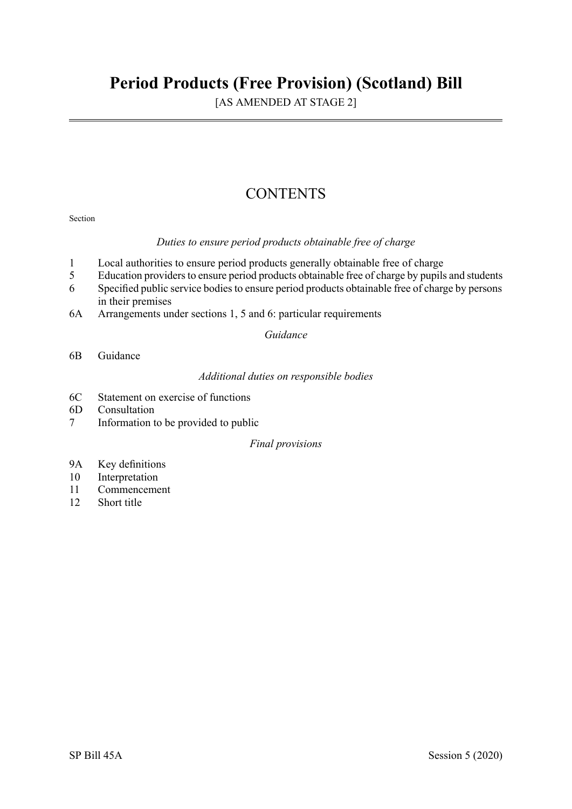# **Period Products (Free Provision) (Scotland) Bill**

[AS AMENDED AT STAGE 2]

# **CONTENTS**

## Section

# *Duties to ensure period products obtainable free of charge*

- 1 Local authorities to ensure period products generally obtainable free of charge
- 5 Education providers to ensure period products obtainable free of charge by pupils and students
- 6 Specified public service bodiesto ensure period products obtainable free of charge by persons in their premises
- 6A Arrangements under sections 1, 5 and 6: particular requirements

*Guidance* 

6B Guidance

*Additional duties on responsible bodies* 

- 6C Statement on exercise of functions
- 6D Consultation
- 7 Information to be provided to public

# *Final provisions*

- 9A Key definitions
- 10 Interpretation
- 11 Commencement
- 12 Short title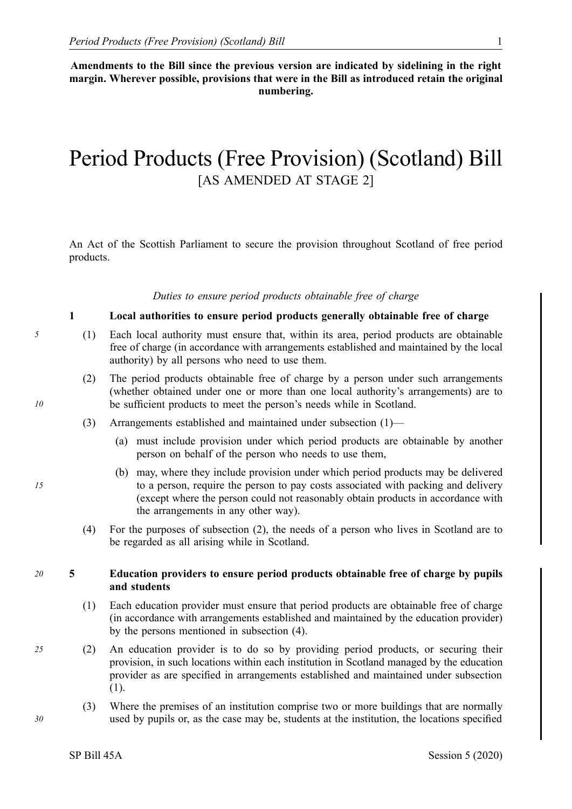**Amendments to the Bill since the previous version are indicated by sidelining in the right margin. Wherever possible, provisions that were in the Bill as introduced retain the original numbering.** 

# Period Products (Free Provision) (Scotland) Bill [AS AMENDED AT STAGE 2]

An Act of the Scottish Parliament to secure the provision throughout Scotland of free period products.

#### *Duties to ensure period products obtainable free of charge*

## **1 Local authorities to ensure period products generally obtainable free of charge**

- *5* (1) Each local authority must ensure that, within its area, period products are obtainable free of charge (in accordance with arrangements established and maintained by the local authority) by all persons who need to use them.
	- (2) The period products obtainable free of charge by a person under such arrangements (whether obtained under one or more than one local authority's arrangements) are to be sufficient products to meet the person's needs while in Scotland.
	- (3) Arrangements established and maintained under subsection (1)—
		- (a) must include provision under which period products are obtainable by another person on behalf of the person who needs to use them,
		- (b) may, where they include provision under which period products may be delivered to a person, require the person to pay costs associated with packing and delivery (except where the person could not reasonably obtain products in accordance with the arrangements in any other way).
	- (4) For the purposes of subsection (2), the needs of a person who lives in Scotland are to be regarded as all arising while in Scotland.

### *20* **5 Education providers to ensure period products obtainable free of charge by pupils and students**

- (1) Each education provider must ensure that period products are obtainable free of charge (in accordance with arrangements established and maintained by the education provider) by the persons mentioned in subsection (4).
- *25* (2) An education provider is to do so by providing period products, or securing their provision, in such locations within each institution in Scotland managed by the education provider as are specified in arrangements established and maintained under subsection (1).
	- (3) Where the premises of an institution comprise two or more buildings that are normally used by pupils or, as the case may be, students at the institution, the locations specified

*15* 

*10*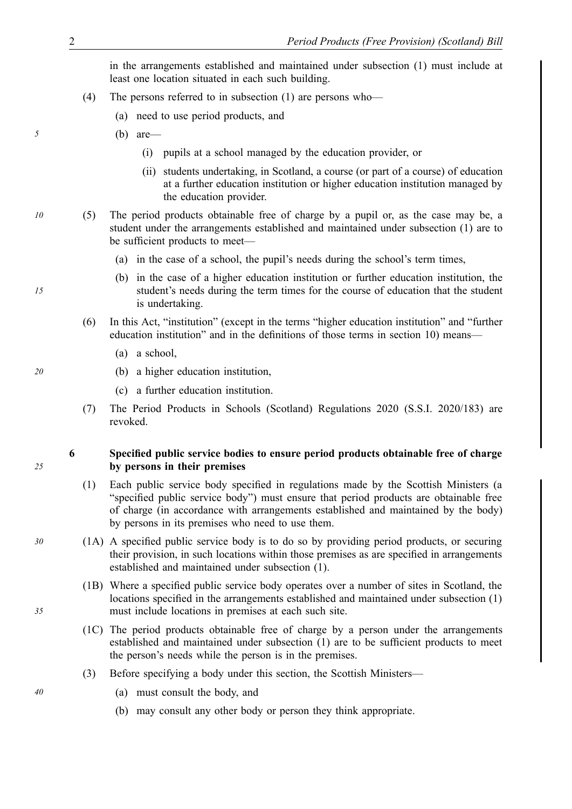in the arrangements established and maintained under subsection (1) must include at least one location situated in each such building.

- (4) The persons referred to in subsection (1) are persons who—
	- (a) need to use period products, and
- *5* (b) are—
	- (i) pupils at a school managed by the education provider, or
	- (ii) students undertaking, in Scotland, a course (or part of a course) of education at a further education institution or higher education institution managed by the education provider.
- *10* (5) The period products obtainable free of charge by a pupil or, as the case may be, a student under the arrangements established and maintained under subsection (1) are to be sufficient products to meet—
	- (a) in the case of a school, the pupil's needs during the school's term times,
	- (b) in the case of a higher education institution or further education institution, the student's needs during the term times for the course of education that the student is undertaking.
	- (6) In this Act, "institution" (except in the terms "higher education institution" and "further education institution" and in the definitions of those terms in section 10) means—
		- (a) a school,
- *20* (b) a higher education institution,
	- (c) a further education institution.
	- (7) The Period Products in Schools (Scotland) Regulations 2020 (S.S.I. 2020/183) are revoked.

**6 Specified public service bodies to ensure period products obtainable free of charge by persons in their premises**

- (1) Each public service body specified in regulations made by the Scottish Ministers (a "specified public service body") must ensure that period products are obtainable free of charge (in accordance with arrangements established and maintained by the body) by persons in its premises who need to use them.
- *30* (1A) A specified public service body is to do so by providing period products, or securing their provision, in such locations within those premises as are specified in arrangements established and maintained under subsection (1).
	- (1B) Where a specified public service body operates over a number of sites in Scotland, the locations specified in the arrangements established and maintained under subsection (1) must include locations in premises at each such site.
	- (1C) The period products obtainable free of charge by a person under the arrangements established and maintained under subsection (1) are to be sufficient products to meet the person's needs while the person is in the premises.
	- (3) Before specifying a body under this section, the Scottish Ministers—
- *40* (a) must consult the body, and
	- (b) may consult any other body or person they think appropriate.

*15* 

*25*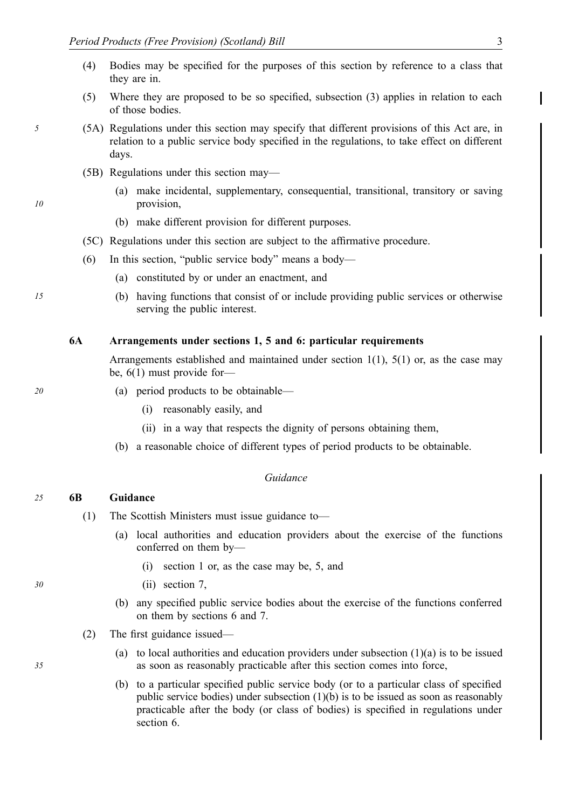- (4) Bodies may be specified for the purposes of this section by reference to a class that they are in.
- (5) Where they are proposed to be so specified, subsection (3) applies in relation to each of those bodies.
- *5* (5A) Regulations under this section may specify that different provisions of this Act are, in relation to a public service body specified in the regulations, to take effect on different days.
	- (5B) Regulations under this section may—
		- (a) make incidental, supplementary, consequential, transitional, transitory or saving provision,
		- (b) make different provision for different purposes.
	- (5C) Regulations under this section are subject to the affirmative procedure.
	- (6) In this section, "public service body" means a body—
		- (a) constituted by or under an enactment, and
- *15* (b) having functions that consist of or include providing public services or otherwise serving the public interest.

#### **6A Arrangements under sections 1, 5 and 6: particular requirements**

Arrangements established and maintained under section 1(1), 5(1) or, as the case may be, 6(1) must provide for—

#### *20* (a) period products to be obtainable—

- (i) reasonably easily, and
- (ii) in a way that respects the dignity of persons obtaining them,
- (b) a reasonable choice of different types of period products to be obtainable.

### *Guidance*

#### *25* **6B Guidance**

- (1) The Scottish Ministers must issue guidance to—
	- (a) local authorities and education providers about the exercise of the functions conferred on them by—
		- (i) section 1 or, as the case may be, 5, and
- *30* (ii) section 7,
	- (b) any specified public service bodies about the exercise of the functions conferred on them by sections 6 and 7.
	- (2) The first guidance issued—
		- (a) to local authorities and education providers under subsection (1)(a) is to be issued as soon as reasonably practicable after this section comes into force,
		- (b) to a particular specified public service body (or to a particular class of specified public service bodies) under subsection (1)(b) is to be issued as soon as reasonably practicable after the body (or class of bodies) is specified in regulations under section 6.

*35*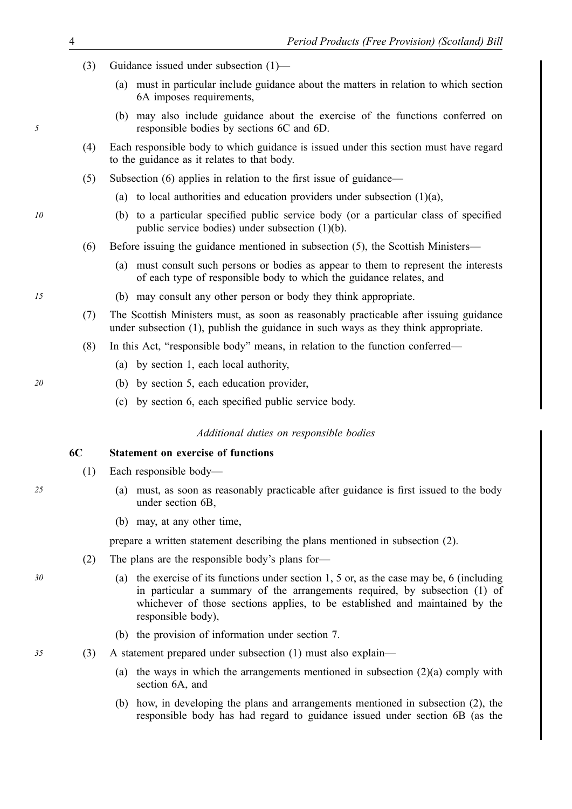- (3) Guidance issued under subsection (1)—
	- (a) must in particular include guidance about the matters in relation to which section 6A imposes requirements,
	- (b) may also include guidance about the exercise of the functions conferred on responsible bodies by sections 6C and 6D.
- (4) Each responsible body to which guidance is issued under this section must have regard to the guidance as it relates to that body.
- (5) Subsection (6) applies in relation to the first issue of guidance—
	- (a) to local authorities and education providers under subsection  $(1)(a)$ ,
- *10* (b) to a particular specified public service body (or a particular class of specified public service bodies) under subsection (1)(b).
	- (6) Before issuing the guidance mentioned in subsection (5), the Scottish Ministers—
		- (a) must consult such persons or bodies as appear to them to represent the interests of each type of responsible body to which the guidance relates, and
- *15* (b) may consult any other person or body they think appropriate.
	- (7) The Scottish Ministers must, as soon as reasonably practicable after issuing guidance under subsection (1), publish the guidance in such ways as they think appropriate.
	- (8) In this Act, "responsible body" means, in relation to the function conferred—
		- (a) by section 1, each local authority,
- *20* (b) by section 5, each education provider,
	- (c) by section 6, each specified public service body.

#### *Additional duties on responsible bodies*

## **6C Statement on exercise of functions**

- (1) Each responsible body—
- *25* (a) must, as soon as reasonably practicable after guidance is first issued to the body under section 6B,
	- (b) may, at any other time,

prepare a written statement describing the plans mentioned in subsection (2).

- (2) The plans are the responsible body's plans for—
- *30* (a) the exercise of its functions under section 1, 5 or, as the case may be, 6 (including in particular a summary of the arrangements required, by subsection (1) of whichever of those sections applies, to be established and maintained by the responsible body),
	- (b) the provision of information under section 7.

*35* (3) A statement prepared under subsection (1) must also explain—

- (a) the ways in which the arrangements mentioned in subsection  $(2)(a)$  comply with section 6A, and
- (b) how, in developing the plans and arrangements mentioned in subsection (2), the responsible body has had regard to guidance issued under section 6B (as the

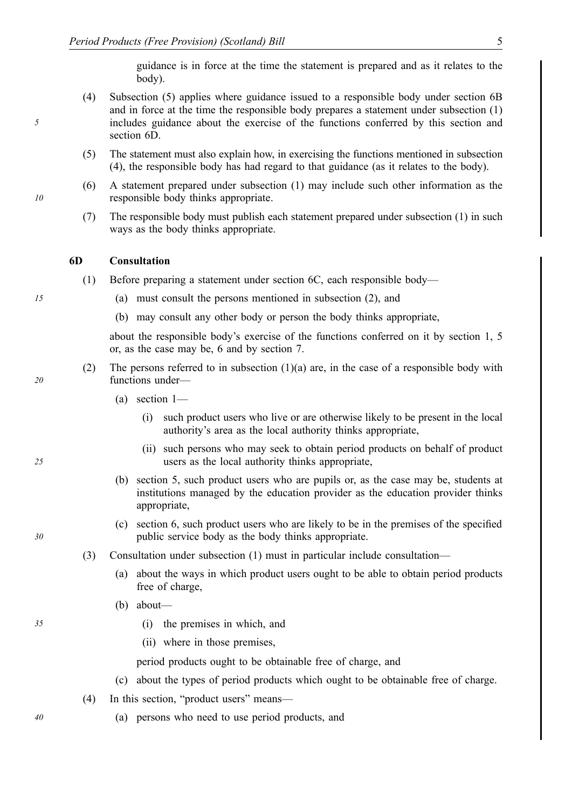guidance is in force at the time the statement is prepared and as it relates to the body).

- (4) Subsection (5) applies where guidance issued to a responsible body under section 6B and in force at the time the responsible body prepares a statement under subsection (1) includes guidance about the exercise of the functions conferred by this section and section 6D.
- (5) The statement must also explain how, in exercising the functions mentioned in subsection (4), the responsible body has had regard to that guidance (as it relates to the body).
- (6) A statement prepared under subsection (1) may include such other information as the responsible body thinks appropriate.
- (7) The responsible body must publish each statement prepared under subsection (1) in such ways as the body thinks appropriate.

#### **6D Consultation**

- (1) Before preparing a statement under section 6C, each responsible body—
- *15* (a) must consult the persons mentioned in subsection (2), and
	- (b) may consult any other body or person the body thinks appropriate,

about the responsible body's exercise of the functions conferred on it by section 1, 5 or, as the case may be, 6 and by section 7.

- (2) The persons referred to in subsection  $(1)(a)$  are, in the case of a responsible body with functions under—
	- (a) section 1—
		- (i) such product users who live or are otherwise likely to be present in the local authority's area as the local authority thinks appropriate,
		- (ii) such persons who may seek to obtain period products on behalf of product users as the local authority thinks appropriate,
	- (b) section 5, such product users who are pupils or, as the case may be, students at institutions managed by the education provider as the education provider thinks appropriate,
	- (c) section 6, such product users who are likely to be in the premises of the specified public service body as the body thinks appropriate.
- (3) Consultation under subsection (1) must in particular include consultation—
	- (a) about the ways in which product users ought to be able to obtain period products free of charge,
	- (b) about—
- *35* (i) the premises in which, and
	- (ii) where in those premises,

period products ought to be obtainable free of charge, and

- (c) about the types of period products which ought to be obtainable free of charge.
- (4) In this section, "product users" means—
- *40* (a) persons who need to use period products, and

*20* 

*5* 

*10* 



*25*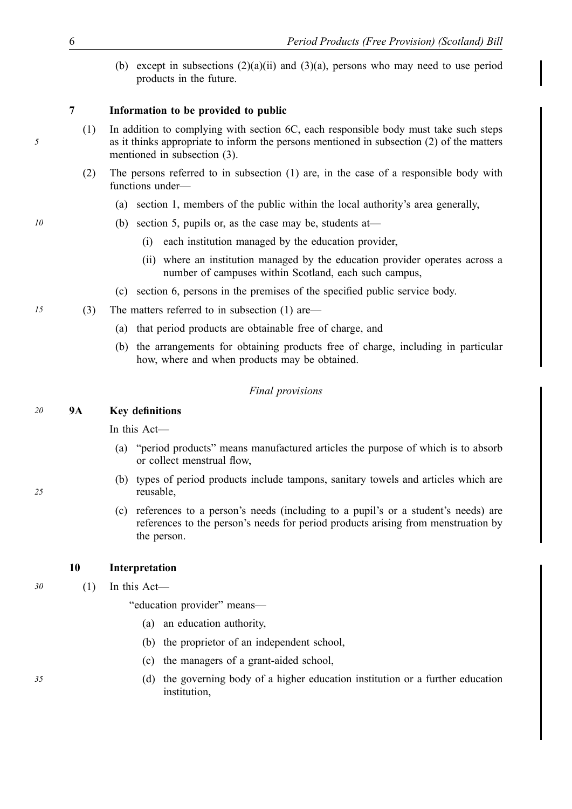(b) except in subsections  $(2)(a)(ii)$  and  $(3)(a)$ , persons who may need to use period products in the future.

# **7 Information to be provided to public**

- (1) In addition to complying with section 6C, each responsible body must take such steps as it thinks appropriate to inform the persons mentioned in subsection (2) of the matters mentioned in subsection (3).
- (2) The persons referred to in subsection (1) are, in the case of a responsible body with functions under—
	- (a) section 1, members of the public within the local authority's area generally,
- *10* **(b)** section 5, pupils or, as the case may be, students at—
	- (i) each institution managed by the education provider,
	- (ii) where an institution managed by the education provider operates across a number of campuses within Scotland, each such campus,
	- (c) section 6, persons in the premises of the specified public service body.
- *15* (3) The matters referred to in subsection (1) are—
	- (a) that period products are obtainable free of charge, and
	- (b) the arrangements for obtaining products free of charge, including in particular how, where and when products may be obtained.

#### *Final provisions*

### *20* **9A Key definitions**

In this Act—

- (a) "period products" means manufactured articles the purpose of which is to absorb or collect menstrual flow,
- (b) types of period products include tampons, sanitary towels and articles which are reusable,
- (c) references to a person's needs (including to a pupil's or a student's needs) are references to the person's needs for period products arising from menstruation by the person.

## **10 Interpretation**

*30* (1) In this Act—

"education provider" means—

- (a) an education authority,
- (b) the proprietor of an independent school,
- (c) the managers of a grant-aided school,
- *35* (d) the governing body of a higher education institution or a further education institution,

*5*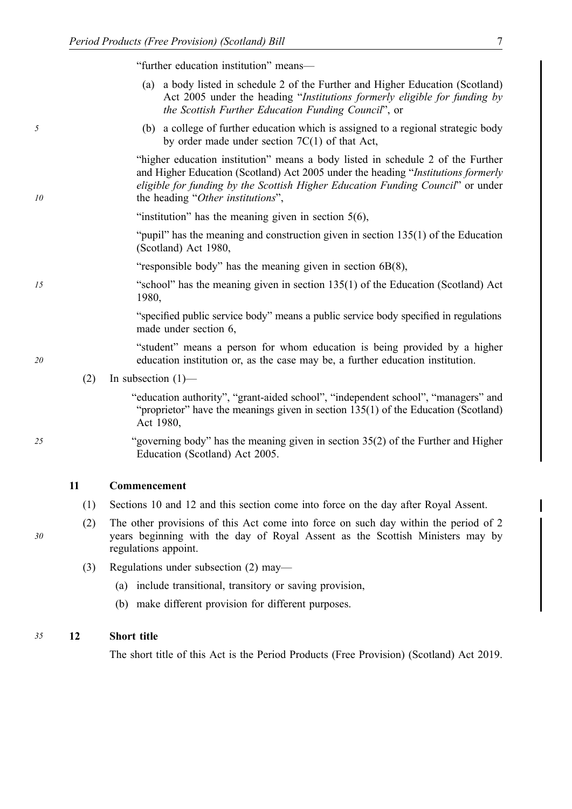"further education institution" means—

- (a) a body listed in schedule 2 of the Further and Higher Education (Scotland) Act 2005 under the heading "*Institutions formerly eligible for funding by the Scottish Further Education Funding Council*", or
- *5* (b) a college of further education which is assigned to a regional strategic body by order made under section 7C(1) of that Act,

"higher education institution" means a body listed in schedule 2 of the Further and Higher Education (Scotland) Act 2005 under the heading "*Institutions formerly eligible for funding by the Scottish Higher Education Funding Council*" or under the heading "*Other institutions*",

"institution" has the meaning given in section  $5(6)$ ,

"pupil" has the meaning and construction given in section 135(1) of the Education (Scotland) Act 1980,

- "responsible body" has the meaning given in section 6B(8),
- *15* "school" has the meaning given in section 135(1) of the Education (Scotland) Act 1980,

"specified public service body" means a public service body specified in regulations made under section 6,

"student" means a person for whom education is being provided by a higher education institution or, as the case may be, a further education institution.

(2) In subsection  $(1)$ —

"education authority", "grant-aided school", "independent school", "managers" and "proprietor" have the meanings given in section 135(1) of the Education (Scotland) Act 1980,

*25* "governing body" has the meaning given in section 35(2) of the Further and Higher Education (Scotland) Act 2005.

#### **11 Commencement**

- (1) Sections 10 and 12 and this section come into force on the day after Royal Assent.
- (2) The other provisions of this Act come into force on such day within the period of 2 years beginning with the day of Royal Assent as the Scottish Ministers may by regulations appoint.
- (3) Regulations under subsection (2) may—
	- (a) include transitional, transitory or saving provision,
	- (b) make different provision for different purposes.

#### *35* **12 Short title**

The short title of this Act is the Period Products (Free Provision) (Scotland) Act 2019.

*30* 

*10*